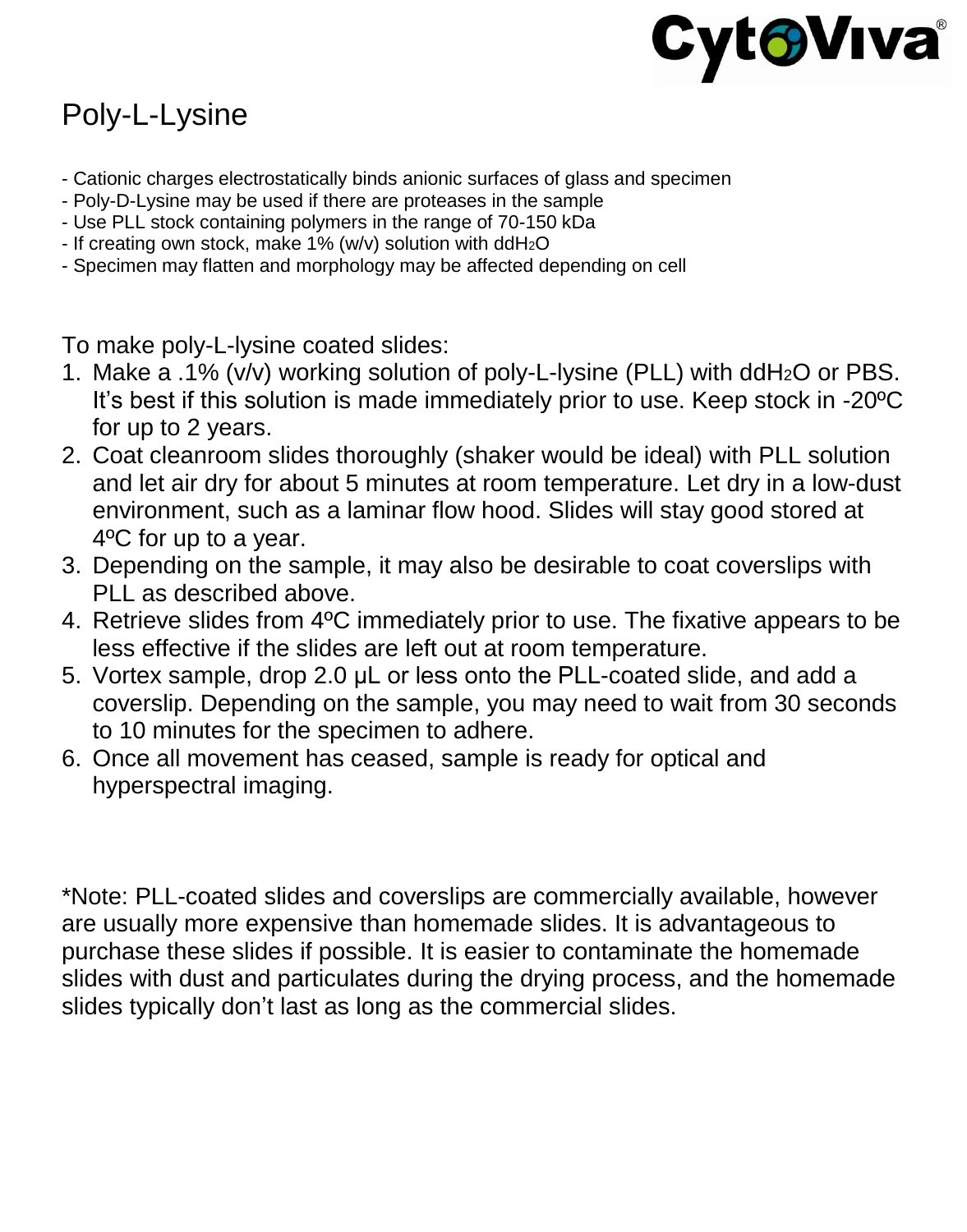

## Poly-L-Lysine

- Cationic charges electrostatically binds anionic surfaces of glass and specimen
- Poly-D-Lysine may be used if there are proteases in the sample
- Use PLL stock containing polymers in the range of 70-150 kDa
- If creating own stock, make 1% (w/v) solution with ddH2O
- Specimen may flatten and morphology may be affected depending on cell

To make poly-L-lysine coated slides:

- 1. Make a .1% (v/v) working solution of poly-L-lysine (PLL) with ddH2O or PBS. It's best if this solution is made immediately prior to use. Keep stock in -20ºC for up to 2 years.
- 2. Coat cleanroom slides thoroughly (shaker would be ideal) with PLL solution and let air dry for about 5 minutes at room temperature. Let dry in a low-dust environment, such as a laminar flow hood. Slides will stay good stored at 4ºC for up to a year.
- 3. Depending on the sample, it may also be desirable to coat coverslips with PLL as described above.
- 4. Retrieve slides from 4ºC immediately prior to use. The fixative appears to be less effective if the slides are left out at room temperature.
- 5. Vortex sample, drop 2.0 μL or less onto the PLL-coated slide, and add a coverslip. Depending on the sample, you may need to wait from 30 seconds to 10 minutes for the specimen to adhere.
- 6. Once all movement has ceased, sample is ready for optical and hyperspectral imaging.

\*Note: PLL-coated slides and coverslips are commercially available, however are usually more expensive than homemade slides. It is advantageous to purchase these slides if possible. It is easier to contaminate the homemade slides with dust and particulates during the drying process, and the homemade slides typically don't last as long as the commercial slides.